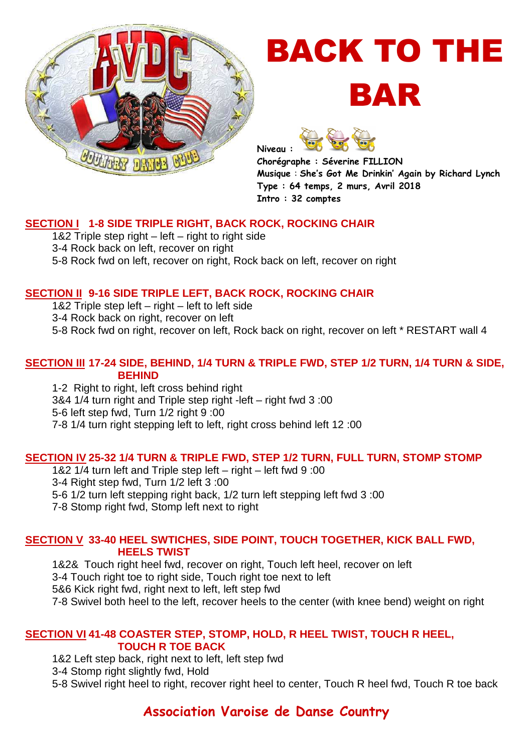

# BACK TO THE BAR

**Niveau :** 

**Chorégraphe : Séverine FILLION Musique** : **She's Got Me Drinkin' Again by Richard Lynch Type : 64 temps, 2 murs, Avril 2018 Intro : 32 comptes** 

## **SECTION I 1-8 SIDE TRIPLE RIGHT, BACK ROCK, ROCKING CHAIR**

1&2 Triple step right – left – right to right side 3-4 Rock back on left, recover on right 5-8 Rock fwd on left, recover on right, Rock back on left, recover on right

## **SECTION II 9-16 SIDE TRIPLE LEFT, BACK ROCK, ROCKING CHAIR**

1&2 Triple step left – right – left to left side

3-4 Rock back on right, recover on left

5-8 Rock fwd on right, recover on left, Rock back on right, recover on left \* RESTART wall 4

#### **SECTION III 17-24 SIDE, BEHIND, 1/4 TURN & TRIPLE FWD, STEP 1/2 TURN, 1/4 TURN & SIDE, BEHIND**

1-2 Right to right, left cross behind right 3&4 1/4 turn right and Triple step right -left – right fwd 3 :00 5-6 left step fwd, Turn 1/2 right 9 :00 7-8 1/4 turn right stepping left to left, right cross behind left 12 :00

## **SECTION IV 25-32 1/4 TURN & TRIPLE FWD, STEP 1/2 TURN, FULL TURN, STOMP STOMP**

1&2 1/4 turn left and Triple step left – right – left fwd 9 :00 3-4 Right step fwd, Turn 1/2 left 3 :00 5-6 1/2 turn left stepping right back, 1/2 turn left stepping left fwd 3 :00 7-8 Stomp right fwd, Stomp left next to right

#### **SECTION V 33-40 HEEL SWTICHES, SIDE POINT, TOUCH TOGETHER, KICK BALL FWD, HEELS TWIST**

1&2& Touch right heel fwd, recover on right, Touch left heel, recover on left 3-4 Touch right toe to right side, Touch right toe next to left 5&6 Kick right fwd, right next to left, left step fwd 7-8 Swivel both heel to the left, recover heels to the center (with knee bend) weight on right

#### **SECTION VI 41-48 COASTER STEP, STOMP, HOLD, R HEEL TWIST, TOUCH R HEEL, TOUCH R TOE BACK**

1&2 Left step back, right next to left, left step fwd

3-4 Stomp right slightly fwd, Hold

5-8 Swivel right heel to right, recover right heel to center, Touch R heel fwd, Touch R toe back

# **Association Varoise de Danse Country**